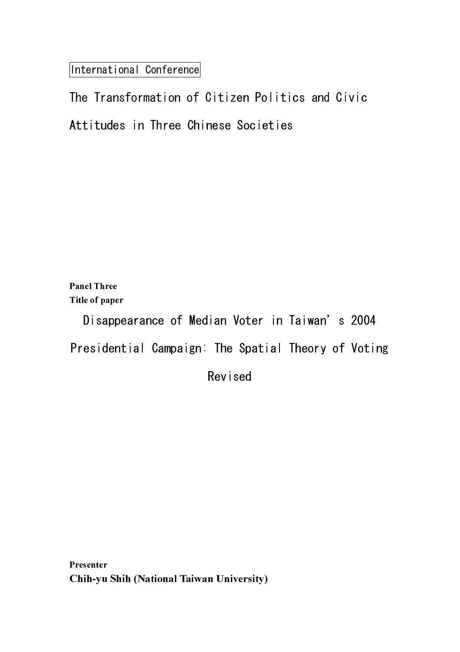International Conference

The Transformation of Citizen Politics and Civic Attitudes in Three Chinese Societies

Panel Three Title of paper Disappearance of Median Voter in Taiwan's 2004 Presidential Campaign: The Spatial Theory of Voting

Revised

Presenter Presenter Chih-yu Shih (National Taiwan University)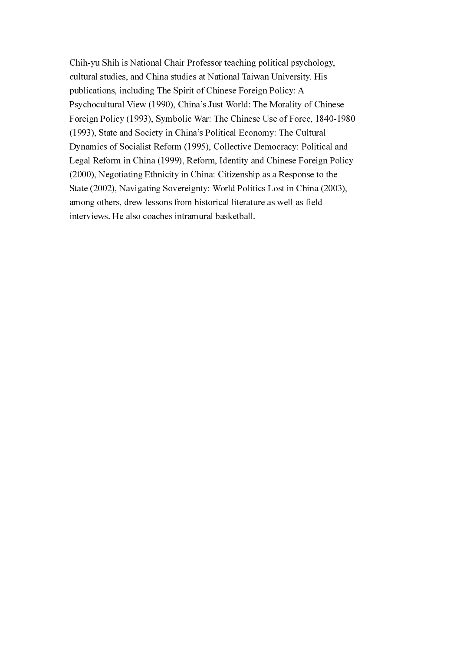Chih-yu Shih is National Chair Professor teaching political psychology, cultural studies, and China studies at National Taiwan University. His publications, including The Spirit of Chinese Foreign Policy: A Psychocultural View (1990), China's Just World: The Morality of Chinese Foreign Policy (1993), Symbolic War: The Chinese Use of Force, 1840-1980 (1993), State and Society in China's Political Economy: The Cultural Dynamics of Socialist Reform (1995), Collective Democracy: Political and Legal Reform in China (1999), Reform, Identity and Chinese Foreign Policy (2000), Negotiating Ethnicity in China: Citizenship as a Response to the State (2002), Navigating Sovereignty: World Politics Lost in China (2003), among others, drew lessons from historical literature as well as field interviews. He also coaches intramural basketball.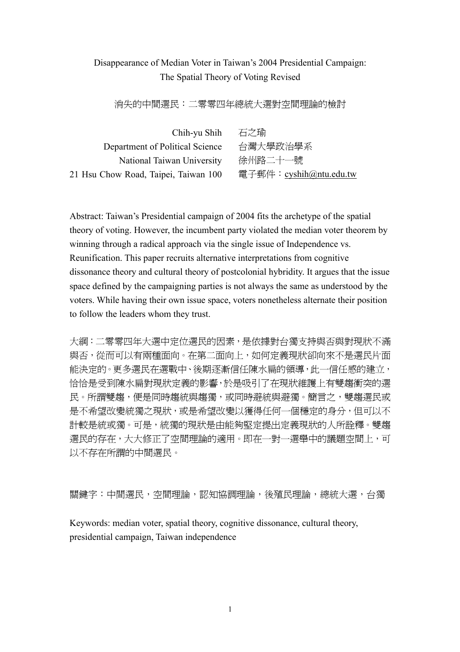# Disappearance of Median Voter in Taiwan's 2004 Presidential Campaign: The Spatial Theory of Voting Revised

消失的中間選民:二零零四年總統大選對空間理論的檢討

| 石之瑜                    |
|------------------------|
| 台灣大學政治學系               |
| 徐州路二十一號                |
| 電子郵件:cyshih@ntu.edu.tw |
|                        |

Abstract: Taiwan's Presidential campaign of 2004 fits the archetype of the spatial theory of voting. However, the incumbent party violated the median voter theorem by winning through a radical approach via the single issue of Independence vs. Reunification. This paper recruits alternative interpretations from cognitive dissonance theory and cultural theory of postcolonial hybridity. It argues that the issue space defined by the campaigning parties is not always the same as understood by the voters. While having their own issue space, voters nonetheless alternate their position to follow the leaders whom they trust.

大綱:二零零四年大選中定位選民的因素,是依據對台獨支持與否與對現狀不滿 與否,從而可以有兩種面向。在第二面向上,如何定義現狀卻向來不是選民片面 能決定的。更多選民在選戰中、後期逐漸信任陳水扁的領導, 此一信任感的建立, 恰恰是受到陳水扁對現狀定義的影響,於是吸引了在現狀維護上有雙趨衝突的選 民。所謂雙趨,便是同時趨統與獨,或同時避統與避獨。簡言之,雙趨選民或 是不希望改變統獨之現狀,或是希望改變以獲得任何一個穩定的身分,但可以不 計較是統或獨。可是,統獨的現狀是由能夠堅定提出定義現狀的人所詮釋。雙趨 選民的存在,大大修正了空間理論的適用。即在一對一選舉中的議題空間上,可 以不存在所謂的中間選民。

關鍵字:中間選民,空間理論,認知協調理論,後殖民理論,總統大選,台獨

Keywords: median voter, spatial theory, cognitive dissonance, cultural theory, presidential campaign, Taiwan independence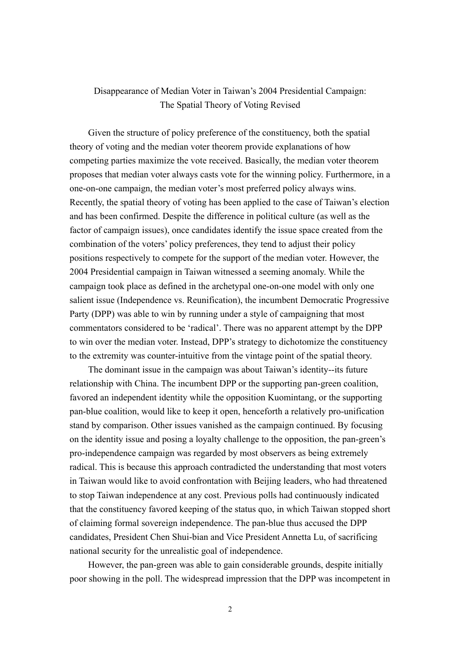# Disappearance of Median Voter in Taiwan's 2004 Presidential Campaign: The Spatial Theory of Voting Revised

Given the structure of policy preference of the constituency, both the spatial theory of voting and the median voter theorem provide explanations of how competing parties maximize the vote received. Basically, the median voter theorem proposes that median voter always casts vote for the winning policy. Furthermore, in a one-on-one campaign, the median voter's most preferred policy always wins. Recently, the spatial theory of voting has been applied to the case of Taiwan's election and has been confirmed. Despite the difference in political culture (as well as the factor of campaign issues), once candidates identify the issue space created from the combination of the voters' policy preferences, they tend to adjust their policy positions respectively to compete for the support of the median voter. However, the 2004 Presidential campaign in Taiwan witnessed a seeming anomaly. While the campaign took place as defined in the archetypal one-on-one model with only one salient issue (Independence vs. Reunification), the incumbent Democratic Progressive Party (DPP) was able to win by running under a style of campaigning that most commentators considered to be 'radical'. There was no apparent attempt by the DPP to win over the median voter. Instead, DPP's strategy to dichotomize the constituency to the extremity was counter-intuitive from the vintage point of the spatial theory.

The dominant issue in the campaign was about Taiwan's identity--its future relationship with China. The incumbent DPP or the supporting pan-green coalition, favored an independent identity while the opposition Kuomintang, or the supporting pan-blue coalition, would like to keep it open, henceforth a relatively pro-unification stand by comparison. Other issues vanished as the campaign continued. By focusing on the identity issue and posing a loyalty challenge to the opposition, the pan-green's pro-independence campaign was regarded by most observers as being extremely radical. This is because this approach contradicted the understanding that most voters in Taiwan would like to avoid confrontation with Beijing leaders, who had threatened to stop Taiwan independence at any cost. Previous polls had continuously indicated that the constituency favored keeping of the status quo, in which Taiwan stopped short of claiming formal sovereign independence. The pan-blue thus accused the DPP candidates, President Chen Shui-bian and Vice President Annetta Lu, of sacrificing national security for the unrealistic goal of independence.

However, the pan-green was able to gain considerable grounds, despite initially poor showing in the poll. The widespread impression that the DPP was incompetent in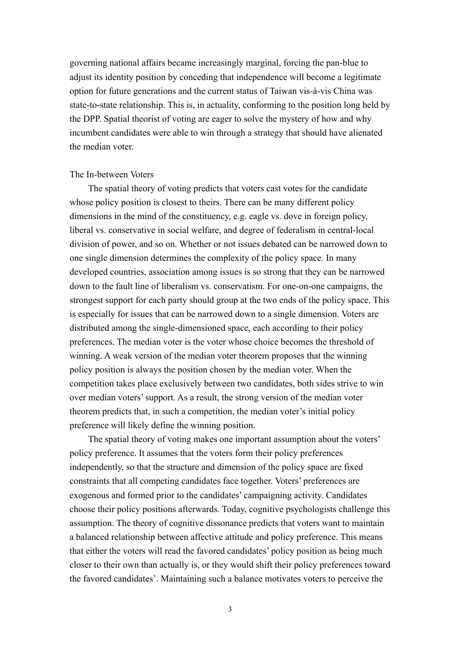governing national affairs became increasingly marginal, forcing the pan-blue to adjust its identity position by conceding that independence will become a legitimate option for future generations and the current status of Taiwan vis-à-vis China was state-to-state relationship. This is, in actuality, conforming to the position long held by the DPP. Spatial theorist of voting are eager to solve the mystery of how and why incumbent candidates were able to win through a strategy that should have alienated the median voter.

# The In-between Voters

The spatial theory of voting predicts that voters cast votes for the candidate whose policy position is closest to theirs. There can be many different policy dimensions in the mind of the constituency, e.g. eagle vs. dove in foreign policy, liberal vs. conservative in social welfare, and degree of federalism in central-local division of power, and so on. Whether or not issues debated can be narrowed down to one single dimension determines the complexity of the policy space. In many developed countries, association among issues is so strong that they can be narrowed down to the fault line of liberalism vs. conservatism. For one-on-one campaigns, the strongest support for each party should group at the two ends of the policy space. This is especially for issues that can be narrowed down to a single dimension. Voters are distributed among the single-dimensioned space, each according to their policy preferences. The median voter is the voter whose choice becomes the threshold of winning. A weak version of the median voter theorem proposes that the winning policy position is always the position chosen by the median voter. When the competition takes place exclusively between two candidates, both sides strive to win over median voters' support. As a result, the strong version of the median voter theorem predicts that, in such a competition, the median voter's initial policy preference will likely define the winning position.

The spatial theory of voting makes one important assumption about the voters' policy preference. It assumes that the voters form their policy preferences independently, so that the structure and dimension of the policy space are fixed constraints that all competing candidates face together. Voters' preferences are exogenous and formed prior to the candidates' campaigning activity. Candidates choose their policy positions afterwards. Today, cognitive psychologists challenge this assumption. The theory of cognitive dissonance predicts that voters want to maintain a balanced relationship between affective attitude and policy preference. This means that either the voters will read the favored candidates' policy position as being much closer to their own than actually is, or they would shift their policy preferences toward the favored candidates'. Maintaining such a balance motivates voters to perceive the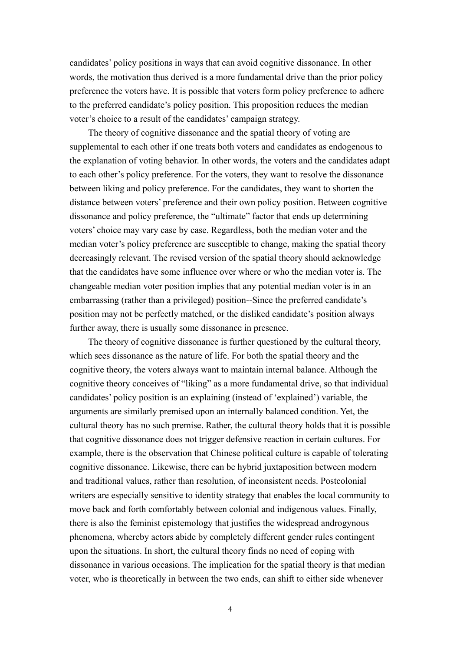candidates' policy positions in ways that can avoid cognitive dissonance. In other words, the motivation thus derived is a more fundamental drive than the prior policy preference the voters have. It is possible that voters form policy preference to adhere to the preferred candidate's policy position. This proposition reduces the median voter's choice to a result of the candidates' campaign strategy.

The theory of cognitive dissonance and the spatial theory of voting are supplemental to each other if one treats both voters and candidates as endogenous to the explanation of voting behavior. In other words, the voters and the candidates adapt to each other's policy preference. For the voters, they want to resolve the dissonance between liking and policy preference. For the candidates, they want to shorten the distance between voters' preference and their own policy position. Between cognitive dissonance and policy preference, the "ultimate" factor that ends up determining voters' choice may vary case by case. Regardless, both the median voter and the median voter's policy preference are susceptible to change, making the spatial theory decreasingly relevant. The revised version of the spatial theory should acknowledge that the candidates have some influence over where or who the median voter is. The changeable median voter position implies that any potential median voter is in an embarrassing (rather than a privileged) position--Since the preferred candidate's position may not be perfectly matched, or the disliked candidate's position always further away, there is usually some dissonance in presence.

The theory of cognitive dissonance is further questioned by the cultural theory, which sees dissonance as the nature of life. For both the spatial theory and the cognitive theory, the voters always want to maintain internal balance. Although the cognitive theory conceives of "liking" as a more fundamental drive, so that individual candidates' policy position is an explaining (instead of 'explained') variable, the arguments are similarly premised upon an internally balanced condition. Yet, the cultural theory has no such premise. Rather, the cultural theory holds that it is possible that cognitive dissonance does not trigger defensive reaction in certain cultures. For example, there is the observation that Chinese political culture is capable of tolerating cognitive dissonance. Likewise, there can be hybrid juxtaposition between modern and traditional values, rather than resolution, of inconsistent needs. Postcolonial writers are especially sensitive to identity strategy that enables the local community to move back and forth comfortably between colonial and indigenous values. Finally, there is also the feminist epistemology that justifies the widespread androgynous phenomena, whereby actors abide by completely different gender rules contingent upon the situations. In short, the cultural theory finds no need of coping with dissonance in various occasions. The implication for the spatial theory is that median voter, who is theoretically in between the two ends, can shift to either side whenever

4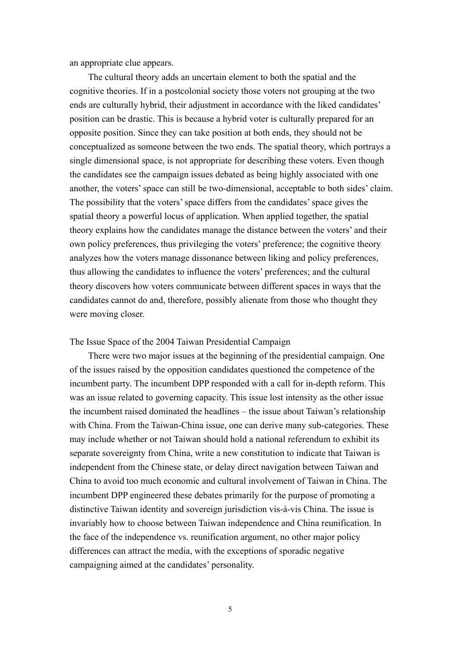an appropriate clue appears.

The cultural theory adds an uncertain element to both the spatial and the cognitive theories. If in a postcolonial society those voters not grouping at the two ends are culturally hybrid, their adjustment in accordance with the liked candidates' position can be drastic. This is because a hybrid voter is culturally prepared for an opposite position. Since they can take position at both ends, they should not be conceptualized as someone between the two ends. The spatial theory, which portrays a single dimensional space, is not appropriate for describing these voters. Even though the candidates see the campaign issues debated as being highly associated with one another, the voters' space can still be two-dimensional, acceptable to both sides' claim. The possibility that the voters' space differs from the candidates' space gives the spatial theory a powerful locus of application. When applied together, the spatial theory explains how the candidates manage the distance between the voters' and their own policy preferences, thus privileging the voters' preference; the cognitive theory analyzes how the voters manage dissonance between liking and policy preferences, thus allowing the candidates to influence the voters' preferences; and the cultural theory discovers how voters communicate between different spaces in ways that the candidates cannot do and, therefore, possibly alienate from those who thought they were moving closer.

The Issue Space of the 2004 Taiwan Presidential Campaign

There were two major issues at the beginning of the presidential campaign. One of the issues raised by the opposition candidates questioned the competence of the incumbent party. The incumbent DPP responded with a call for in-depth reform. This was an issue related to governing capacity. This issue lost intensity as the other issue the incumbent raised dominated the headlines – the issue about Taiwan's relationship with China. From the Taiwan-China issue, one can derive many sub-categories. These may include whether or not Taiwan should hold a national referendum to exhibit its separate sovereignty from China, write a new constitution to indicate that Taiwan is independent from the Chinese state, or delay direct navigation between Taiwan and China to avoid too much economic and cultural involvement of Taiwan in China. The incumbent DPP engineered these debates primarily for the purpose of promoting a distinctive Taiwan identity and sovereign jurisdiction vis-à-vis China. The issue is invariably how to choose between Taiwan independence and China reunification. In the face of the independence vs. reunification argument, no other major policy differences can attract the media, with the exceptions of sporadic negative campaigning aimed at the candidates' personality.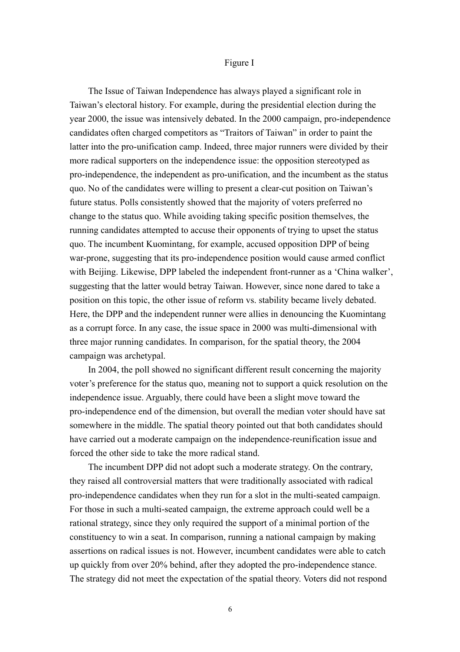### Figure I

The Issue of Taiwan Independence has always played a significant role in Taiwan's electoral history. For example, during the presidential election during the year 2000, the issue was intensively debated. In the 2000 campaign, pro-independence candidates often charged competitors as "Traitors of Taiwan" in order to paint the latter into the pro-unification camp. Indeed, three major runners were divided by their more radical supporters on the independence issue: the opposition stereotyped as pro-independence, the independent as pro-unification, and the incumbent as the status quo. No of the candidates were willing to present a clear-cut position on Taiwan's future status. Polls consistently showed that the majority of voters preferred no change to the status quo. While avoiding taking specific position themselves, the running candidates attempted to accuse their opponents of trying to upset the status quo. The incumbent Kuomintang, for example, accused opposition DPP of being war-prone, suggesting that its pro-independence position would cause armed conflict with Beijing. Likewise, DPP labeled the independent front-runner as a 'China walker', suggesting that the latter would betray Taiwan. However, since none dared to take a position on this topic, the other issue of reform vs. stability became lively debated. Here, the DPP and the independent runner were allies in denouncing the Kuomintang as a corrupt force. In any case, the issue space in 2000 was multi-dimensional with three major running candidates. In comparison, for the spatial theory, the 2004 campaign was archetypal.

In 2004, the poll showed no significant different result concerning the majority voter's preference for the status quo, meaning not to support a quick resolution on the independence issue. Arguably, there could have been a slight move toward the pro-independence end of the dimension, but overall the median voter should have sat somewhere in the middle. The spatial theory pointed out that both candidates should have carried out a moderate campaign on the independence-reunification issue and forced the other side to take the more radical stand.

The incumbent DPP did not adopt such a moderate strategy. On the contrary, they raised all controversial matters that were traditionally associated with radical pro-independence candidates when they run for a slot in the multi-seated campaign. For those in such a multi-seated campaign, the extreme approach could well be a rational strategy, since they only required the support of a minimal portion of the constituency to win a seat. In comparison, running a national campaign by making assertions on radical issues is not. However, incumbent candidates were able to catch up quickly from over 20% behind, after they adopted the pro-independence stance. The strategy did not meet the expectation of the spatial theory. Voters did not respond

6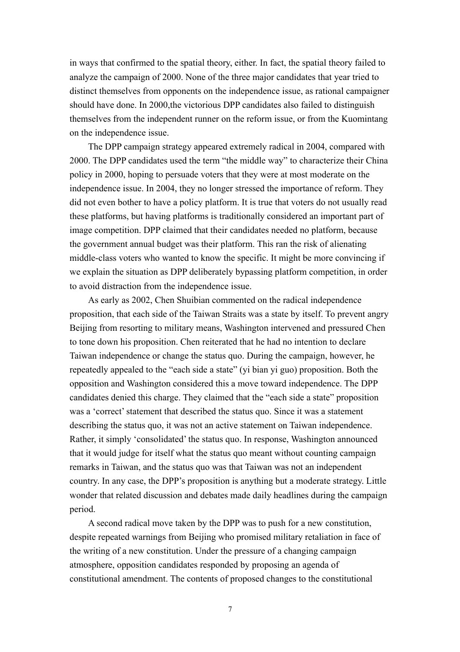in ways that confirmed to the spatial theory, either. In fact, the spatial theory failed to analyze the campaign of 2000. None of the three major candidates that year tried to distinct themselves from opponents on the independence issue, as rational campaigner should have done. In 2000, the victorious DPP candidates also failed to distinguish themselves from the independent runner on the reform issue, or from the Kuomintang on the independence issue.

The DPP campaign strategy appeared extremely radical in 2004, compared with 2000. The DPP candidates used the term "the middle way" to characterize their China policy in 2000, hoping to persuade voters that they were at most moderate on the independence issue. In 2004, they no longer stressed the importance of reform. They did not even bother to have a policy platform. It is true that voters do not usually read these platforms, but having platforms is traditionally considered an important part of image competition. DPP claimed that their candidates needed no platform, because the government annual budget was their platform. This ran the risk of alienating middle-class voters who wanted to know the specific. It might be more convincing if we explain the situation as DPP deliberately bypassing platform competition, in order to avoid distraction from the independence issue.

As early as 2002, Chen Shuibian commented on the radical independence proposition, that each side of the Taiwan Straits was a state by itself. To prevent angry Beijing from resorting to military means, Washington intervened and pressured Chen to tone down his proposition. Chen reiterated that he had no intention to declare Taiwan independence or change the status quo. During the campaign, however, he repeatedly appealed to the "each side a state" (yi bian yi guo) proposition. Both the opposition and Washington considered this a move toward independence. The DPP candidates denied this charge. They claimed that the "each side a state" proposition was a 'correct' statement that described the status quo. Since it was a statement describing the status quo, it was not an active statement on Taiwan independence. Rather, it simply 'consolidated' the status quo. In response, Washington announced that it would judge for itself what the status quo meant without counting campaign remarks in Taiwan, and the status quo was that Taiwan was not an independent country. In any case, the DPP's proposition is anything but a moderate strategy. Little wonder that related discussion and debates made daily headlines during the campaign period.

A second radical move taken by the DPP was to push for a new constitution, despite repeated warnings from Beijing who promised military retaliation in face of the writing of a new constitution. Under the pressure of a changing campaign atmosphere, opposition candidates responded by proposing an agenda of constitutional amendment. The contents of proposed changes to the constitutional

7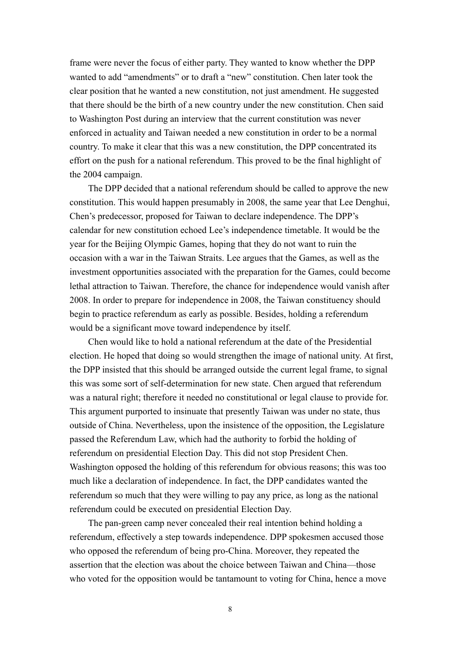frame were never the focus of either party. They wanted to know whether the DPP wanted to add "amendments" or to draft a "new" constitution. Chen later took the clear position that he wanted a new constitution, not just amendment. He suggested that there should be the birth of a new country under the new constitution. Chen said to Washington Post during an interview that the current constitution was never enforced in actuality and Taiwan needed a new constitution in order to be a normal country. To make it clear that this was a new constitution, the DPP concentrated its effort on the push for a national referendum. This proved to be the final highlight of the 2004 campaign.

The DPP decided that a national referendum should be called to approve the new constitution. This would happen presumably in 2008, the same year that Lee Denghui, Chen's predecessor, proposed for Taiwan to declare independence. The DPP's calendar for new constitution echoed Lee's independence timetable. It would be the year for the Beijing Olympic Games, hoping that they do not want to ruin the occasion with a war in the Taiwan Straits. Lee argues that the Games, as well as the investment opportunities associated with the preparation for the Games, could become lethal attraction to Taiwan. Therefore, the chance for independence would vanish after 2008. In order to prepare for independence in 2008, the Taiwan constituency should begin to practice referendum as early as possible. Besides, holding a referendum would be a significant move toward independence by itself.

Chen would like to hold a national referendum at the date of the Presidential election. He hoped that doing so would strengthen the image of national unity. At first, the DPP insisted that this should be arranged outside the current legal frame, to signal this was some sort of self-determination for new state. Chen argued that referendum was a natural right; therefore it needed no constitutional or legal clause to provide for. This argument purported to insinuate that presently Taiwan was under no state, thus outside of China. Nevertheless, upon the insistence of the opposition, the Legislature passed the Referendum Law, which had the authority to forbid the holding of referendum on presidential Election Day. This did not stop President Chen. Washington opposed the holding of this referendum for obvious reasons; this was too much like a declaration of independence. In fact, the DPP candidates wanted the referendum so much that they were willing to pay any price, as long as the national referendum could be executed on presidential Election Day.

The pan-green camp never concealed their real intention behind holding a referendum, effectively a step towards independence. DPP spokesmen accused those who opposed the referendum of being pro-China. Moreover, they repeated the assertion that the election was about the choice between Taiwan and China—those who voted for the opposition would be tantamount to voting for China, hence a move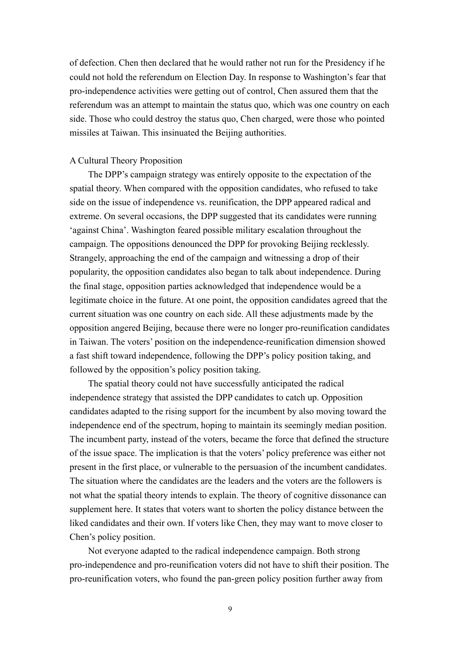of defection. Chen then declared that he would rather not run for the Presidency if he could not hold the referendum on Election Day. In response to Washington's fear that pro-independence activities were getting out of control, Chen assured them that the referendum was an attempt to maintain the status quo, which was one country on each side. Those who could destroy the status quo, Chen charged, were those who pointed missiles at Taiwan. This insinuated the Beijing authorities.

## A Cultural Theory Proposition

The DPP's campaign strategy was entirely opposite to the expectation of the spatial theory. When compared with the opposition candidates, who refused to take side on the issue of independence vs. reunification, the DPP appeared radical and extreme. On several occasions, the DPP suggested that its candidates were running 'against China'. Washington feared possible military escalation throughout the campaign. The oppositions denounced the DPP for provoking Beijing recklessly. Strangely, approaching the end of the campaign and witnessing a drop of their popularity, the opposition candidates also began to talk about independence. During the final stage, opposition parties acknowledged that independence would be a legitimate choice in the future. At one point, the opposition candidates agreed that the current situation was one country on each side. All these adjustments made by the opposition angered Beijing, because there were no longer pro-reunification candidates in Taiwan. The voters' position on the independence-reunification dimension showed a fast shift toward independence, following the DPP's policy position taking, and followed by the opposition's policy position taking.

The spatial theory could not have successfully anticipated the radical independence strategy that assisted the DPP candidates to catch up. Opposition candidates adapted to the rising support for the incumbent by also moving toward the independence end of the spectrum, hoping to maintain its seemingly median position. The incumbent party, instead of the voters, became the force that defined the structure of the issue space. The implication is that the voters' policy preference was either not present in the first place, or vulnerable to the persuasion of the incumbent candidates. The situation where the candidates are the leaders and the voters are the followers is not what the spatial theory intends to explain. The theory of cognitive dissonance can supplement here. It states that voters want to shorten the policy distance between the liked candidates and their own. If voters like Chen, they may want to move closer to Chen's policy position.

Not everyone adapted to the radical independence campaign. Both strong pro-independence and pro-reunification voters did not have to shift their position. The pro-reunification voters, who found the pan-green policy position further away from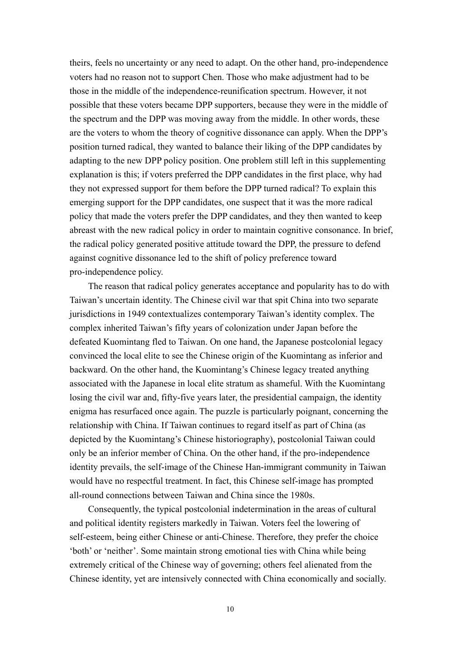theirs, feels no uncertainty or any need to adapt. On the other hand, pro-independence voters had no reason not to support Chen. Those who make adjustment had to be those in the middle of the independence-reunification spectrum. However, it not possible that these voters became DPP supporters, because they were in the middle of the spectrum and the DPP was moving away from the middle. In other words, these are the voters to whom the theory of cognitive dissonance can apply. When the DPP's position turned radical, they wanted to balance their liking of the DPP candidates by adapting to the new DPP policy position. One problem still left in this supplementing explanation is this; if voters preferred the DPP candidates in the first place, why had they not expressed support for them before the DPP turned radical? To explain this emerging support for the DPP candidates, one suspect that it was the more radical policy that made the voters prefer the DPP candidates, and they then wanted to keep abreast with the new radical policy in order to maintain cognitive consonance. In brief, the radical policy generated positive attitude toward the DPP, the pressure to defend against cognitive dissonance led to the shift of policy preference toward pro-independence policy.

The reason that radical policy generates acceptance and popularity has to do with Taiwan's uncertain identity. The Chinese civil war that spit China into two separate jurisdictions in 1949 contextualizes contemporary Taiwan's identity complex. The complex inherited Taiwan's fifty years of colonization under Japan before the defeated Kuomintang fled to Taiwan. On one hand, the Japanese postcolonial legacy convinced the local elite to see the Chinese origin of the Kuomintang as inferior and backward. On the other hand, the Kuomintang's Chinese legacy treated anything associated with the Japanese in local elite stratum as shameful. With the Kuomintang losing the civil war and, fifty-five years later, the presidential campaign, the identity enigma has resurfaced once again. The puzzle is particularly poignant, concerning the relationship with China. If Taiwan continues to regard itself as part of China (as depicted by the Kuomintang's Chinese historiography), postcolonial Taiwan could only be an inferior member of China. On the other hand, if the pro-independence identity prevails, the self-image of the Chinese Han-immigrant community in Taiwan would have no respectful treatment. In fact, this Chinese self-image has prompted all-round connections between Taiwan and China since the 1980s.

Consequently, the typical postcolonial indetermination in the areas of cultural and political identity registers markedly in Taiwan. Voters feel the lowering of self-esteem, being either Chinese or anti-Chinese. Therefore, they prefer the choice 'both' or 'neither'. Some maintain strong emotional ties with China while being extremely critical of the Chinese way of governing; others feel alienated from the Chinese identity, yet are intensively connected with China economically and socially.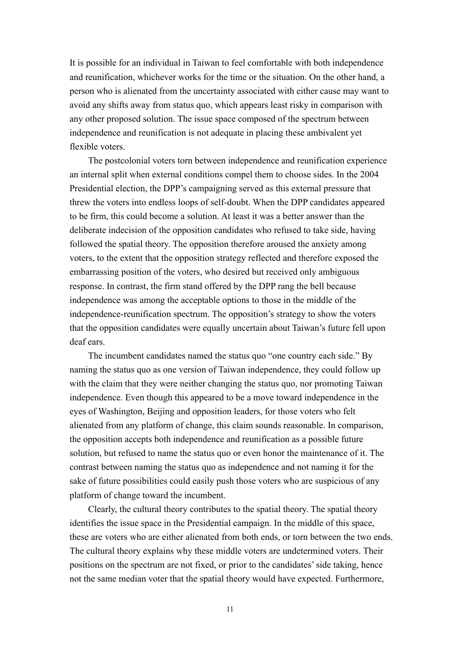It is possible for an individual in Taiwan to feel comfortable with both independence and reunification, whichever works for the time or the situation. On the other hand, a person who is alienated from the uncertainty associated with either cause may want to avoid any shifts away from status quo, which appears least risky in comparison with any other proposed solution. The issue space composed of the spectrum between independence and reunification is not adequate in placing these ambivalent yet flexible voters.

The postcolonial voters torn between independence and reunification experience an internal split when external conditions compel them to choose sides. In the 2004 Presidential election, the DPP's campaigning served as this external pressure that threw the voters into endless loops of self-doubt. When the DPP candidates appeared to be firm, this could become a solution. At least it was a better answer than the deliberate indecision of the opposition candidates who refused to take side, having followed the spatial theory. The opposition therefore aroused the anxiety among voters, to the extent that the opposition strategy reflected and therefore exposed the embarrassing position of the voters, who desired but received only ambiguous response. In contrast, the firm stand offered by the DPP rang the bell because independence was among the acceptable options to those in the middle of the independence-reunification spectrum. The opposition's strategy to show the voters that the opposition candidates were equally uncertain about Taiwan's future fell upon deaf ears.

The incumbent candidates named the status quo "one country each side." By naming the status quo as one version of Taiwan independence, they could follow up with the claim that they were neither changing the status quo, nor promoting Taiwan independence. Even though this appeared to be a move toward independence in the eyes of Washington, Beijing and opposition leaders, for those voters who felt alienated from any platform of change, this claim sounds reasonable. In comparison, the opposition accepts both independence and reunification as a possible future solution, but refused to name the status quo or even honor the maintenance of it. The contrast between naming the status quo as independence and not naming it for the sake of future possibilities could easily push those voters who are suspicious of any platform of change toward the incumbent.

Clearly, the cultural theory contributes to the spatial theory. The spatial theory identifies the issue space in the Presidential campaign. In the middle of this space, these are voters who are either alienated from both ends, or torn between the two ends. The cultural theory explains why these middle voters are undetermined voters. Their positions on the spectrum are not fixed, or prior to the candidates' side taking, hence not the same median voter that the spatial theory would have expected. Furthermore,

11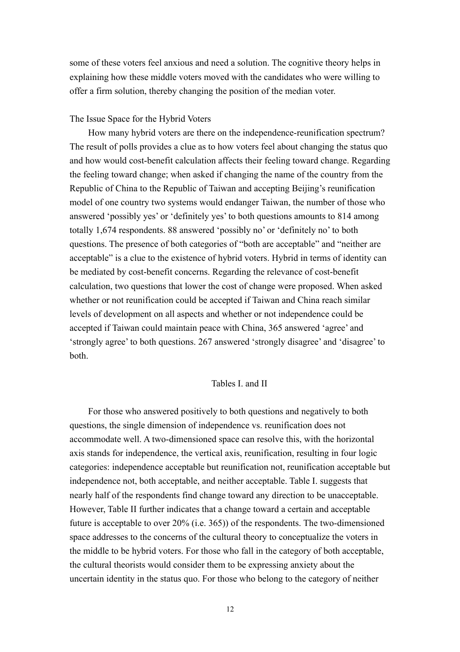some of these voters feel anxious and need a solution. The cognitive theory helps in explaining how these middle voters moved with the candidates who were willing to offer a firm solution, thereby changing the position of the median voter.

## The Issue Space for the Hybrid Voters

How many hybrid voters are there on the independence-reunification spectrum? The result of polls provides a clue as to how voters feel about changing the status quo and how would cost-benefit calculation affects their feeling toward change. Regarding the feeling toward change; when asked if changing the name of the country from the Republic of China to the Republic of Taiwan and accepting Beijing's reunification model of one country two systems would endanger Taiwan, the number of those who answered 'possibly yes' or 'definitely yes' to both questions amounts to 814 among totally 1,674 respondents. 88 answered 'possibly no' or 'definitely no' to both questions. The presence of both categories of "both are acceptable" and "neither are acceptable" is a clue to the existence of hybrid voters. Hybrid in terms of identity can be mediated by cost-benefit concerns. Regarding the relevance of cost-benefit calculation, two questions that lower the cost of change were proposed. When asked whether or not reunification could be accepted if Taiwan and China reach similar levels of development on all aspects and whether or not independence could be accepted if Taiwan could maintain peace with China, 365 answered 'agree' and 'strongly agree' to both questions. 267 answered 'strongly disagree' and 'disagree' to both.

### Tables I. and II

For those who answered positively to both questions and negatively to both questions, the single dimension of independence vs. reunification does not accommodate well. A two-dimensioned space can resolve this, with the horizontal axis stands for independence, the vertical axis, reunification, resulting in four logic categories: independence acceptable but reunification not, reunification acceptable but independence not, both acceptable, and neither acceptable. Table I. suggests that nearly half of the respondents find change toward any direction to be unacceptable. However, Table II further indicates that a change toward a certain and acceptable future is acceptable to over 20% (i.e. 365)) of the respondents. The two-dimensioned space addresses to the concerns of the cultural theory to conceptualize the voters in the middle to be hybrid voters. For those who fall in the category of both acceptable, the cultural theorists would consider them to be expressing anxiety about the uncertain identity in the status quo. For those who belong to the category of neither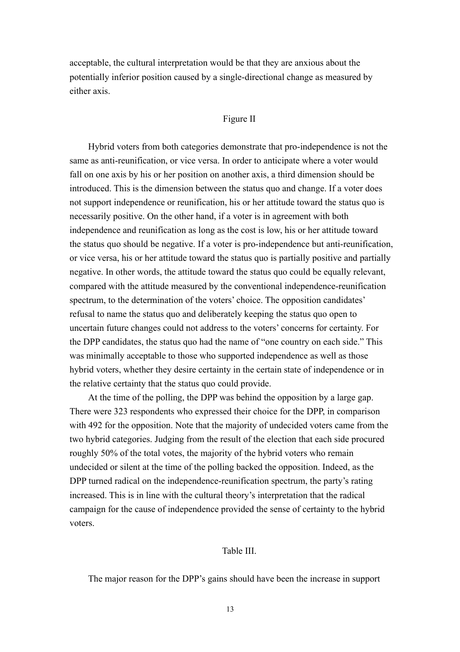acceptable, the cultural interpretation would be that they are anxious about the potentially inferior position caused by a single-directional change as measured by either axis.

## Figure II

Hybrid voters from both categories demonstrate that pro-independence is not the same as anti-reunification, or vice versa. In order to anticipate where a voter would fall on one axis by his or her position on another axis, a third dimension should be introduced. This is the dimension between the status quo and change. If a voter does not support independence or reunification, his or her attitude toward the status quo is necessarily positive. On the other hand, if a voter is in agreement with both independence and reunification as long as the cost is low, his or her attitude toward the status quo should be negative. If a voter is pro-independence but anti-reunification, or vice versa, his or her attitude toward the status quo is partially positive and partially negative. In other words, the attitude toward the status quo could be equally relevant, compared with the attitude measured by the conventional independence-reunification spectrum, to the determination of the voters' choice. The opposition candidates' refusal to name the status quo and deliberately keeping the status quo open to uncertain future changes could not address to the voters' concerns for certainty. For the DPP candidates, the status quo had the name of "one country on each side." This was minimally acceptable to those who supported independence as well as those hybrid voters, whether they desire certainty in the certain state of independence or in the relative certainty that the status quo could provide.

At the time of the polling, the DPP was behind the opposition by a large gap. There were 323 respondents who expressed their choice for the DPP, in comparison with 492 for the opposition. Note that the majority of undecided voters came from the two hybrid categories. Judging from the result of the election that each side procured roughly 50% of the total votes, the majority of the hybrid voters who remain undecided or silent at the time of the polling backed the opposition. Indeed, as the DPP turned radical on the independence-reunification spectrum, the party's rating increased. This is in line with the cultural theory's interpretation that the radical campaign for the cause of independence provided the sense of certainty to the hybrid voters.

## Table III.

The major reason for the DPP's gains should have been the increase in support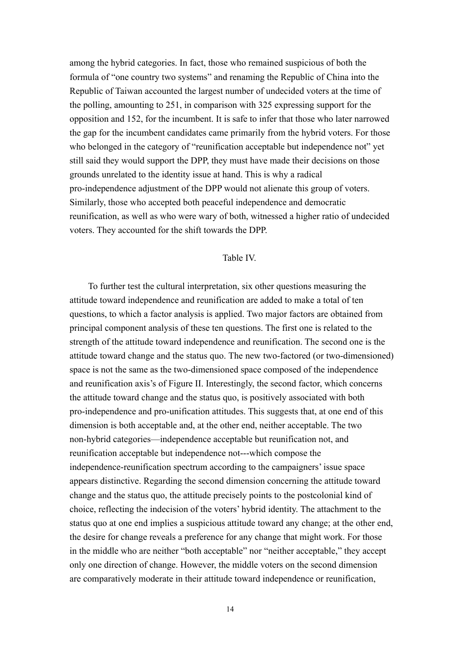among the hybrid categories. In fact, those who remained suspicious of both the formula of "one country two systems" and renaming the Republic of China into the Republic of Taiwan accounted the largest number of undecided voters at the time of the polling, amounting to 251, in comparison with 325 expressing support for the opposition and 152, for the incumbent. It is safe to infer that those who later narrowed the gap for the incumbent candidates came primarily from the hybrid voters. For those who belonged in the category of "reunification acceptable but independence not" yet still said they would support the DPP, they must have made their decisions on those grounds unrelated to the identity issue at hand. This is why a radical pro-independence adjustment of the DPP would not alienate this group of voters. Similarly, those who accepted both peaceful independence and democratic reunification, as well as who were wary of both, witnessed a higher ratio of undecided voters. They accounted for the shift towards the DPP.

# Table IV.

To further test the cultural interpretation, six other questions measuring the attitude toward independence and reunification are added to make a total of ten questions, to which a factor analysis is applied. Two major factors are obtained from principal component analysis of these ten questions. The first one is related to the strength of the attitude toward independence and reunification. The second one is the attitude toward change and the status quo. The new two-factored (or two-dimensioned) space is not the same as the two-dimensioned space composed of the independence and reunification axis's of Figure II. Interestingly, the second factor, which concerns the attitude toward change and the status quo, is positively associated with both pro-independence and pro-unification attitudes. This suggests that, at one end of this dimension is both acceptable and, at the other end, neither acceptable. The two non-hybrid categories—independence acceptable but reunification not, and reunification acceptable but independence not---which compose the independence-reunification spectrum according to the campaigners' issue space appears distinctive. Regarding the second dimension concerning the attitude toward change and the status quo, the attitude precisely points to the postcolonial kind of choice, reflecting the indecision of the voters' hybrid identity. The attachment to the status quo at one end implies a suspicious attitude toward any change; at the other end, the desire for change reveals a preference for any change that might work. For those in the middle who are neither "both acceptable" nor "neither acceptable," they accept only one direction of change. However, the middle voters on the second dimension are comparatively moderate in their attitude toward independence or reunification,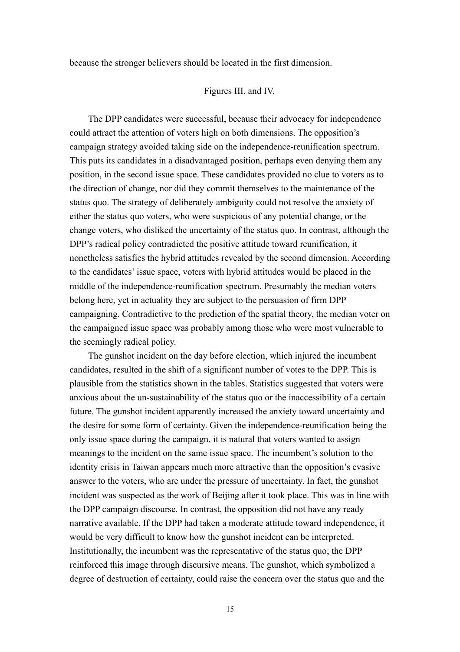because the stronger believers should be located in the first dimension.

### Figures III. and IV.

The DPP candidates were successful, because their advocacy for independence could attract the attention of voters high on both dimensions. The opposition's campaign strategy avoided taking side on the independence-reunification spectrum. This puts its candidates in a disadvantaged position, perhaps even denying them any position, in the second issue space. These candidates provided no clue to voters as to the direction of change, nor did they commit themselves to the maintenance of the status quo. The strategy of deliberately ambiguity could not resolve the anxiety of either the status quo voters, who were suspicious of any potential change, or the change voters, who disliked the uncertainty of the status quo. In contrast, although the DPP's radical policy contradicted the positive attitude toward reunification, it nonetheless satisfies the hybrid attitudes revealed by the second dimension. According to the candidates' issue space, voters with hybrid attitudes would be placed in the middle of the independence-reunification spectrum. Presumably the median voters belong here, yet in actuality they are subject to the persuasion of firm DPP campaigning. Contradictive to the prediction of the spatial theory, the median voter on the campaigned issue space was probably among those who were most vulnerable to the seemingly radical policy.

The gunshot incident on the day before election, which injured the incumbent candidates, resulted in the shift of a significant number of votes to the DPP. This is plausible from the statistics shown in the tables. Statistics suggested that voters were anxious about the un-sustainability of the status quo or the inaccessibility of a certain future. The gunshot incident apparently increased the anxiety toward uncertainty and the desire for some form of certainty. Given the independence-reunification being the only issue space during the campaign, it is natural that voters wanted to assign meanings to the incident on the same issue space. The incumbent's solution to the identity crisis in Taiwan appears much more attractive than the opposition's evasive answer to the voters, who are under the pressure of uncertainty. In fact, the gunshot incident was suspected as the work of Beijing after it took place. This was in line with the DPP campaign discourse. In contrast, the opposition did not have any ready narrative available. If the DPP had taken a moderate attitude toward independence, it would be very difficult to know how the gunshot incident can be interpreted. Institutionally, the incumbent was the representative of the status quo; the DPP reinforced this image through discursive means. The gunshot, which symbolized a degree of destruction of certainty, could raise the concern over the status quo and the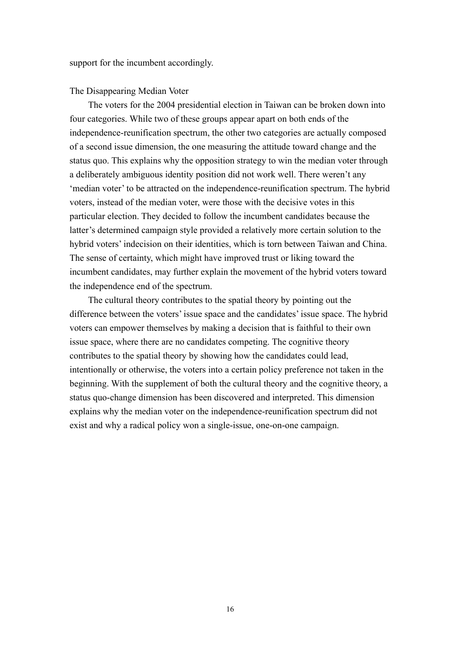support for the incumbent accordingly.

#### The Disappearing Median Voter

The voters for the 2004 presidential election in Taiwan can be broken down into four categories. While two of these groups appear apart on both ends of the independence-reunification spectrum, the other two categories are actually composed of a second issue dimension, the one measuring the attitude toward change and the status quo. This explains why the opposition strategy to win the median voter through a deliberately ambiguous identity position did not work well. There weren't any 'median voter' to be attracted on the independence-reunification spectrum. The hybrid voters, instead of the median voter, were those with the decisive votes in this particular election. They decided to follow the incumbent candidates because the latter's determined campaign style provided a relatively more certain solution to the hybrid voters' indecision on their identities, which is torn between Taiwan and China. The sense of certainty, which might have improved trust or liking toward the incumbent candidates, may further explain the movement of the hybrid voters toward the independence end of the spectrum.

The cultural theory contributes to the spatial theory by pointing out the difference between the voters' issue space and the candidates' issue space. The hybrid voters can empower themselves by making a decision that is faithful to their own issue space, where there are no candidates competing. The cognitive theory contributes to the spatial theory by showing how the candidates could lead, intentionally or otherwise, the voters into a certain policy preference not taken in the beginning. With the supplement of both the cultural theory and the cognitive theory, a status quo-change dimension has been discovered and interpreted. This dimension explains why the median voter on the independence-reunification spectrum did not exist and why a radical policy won a single-issue, one-on-one campaign.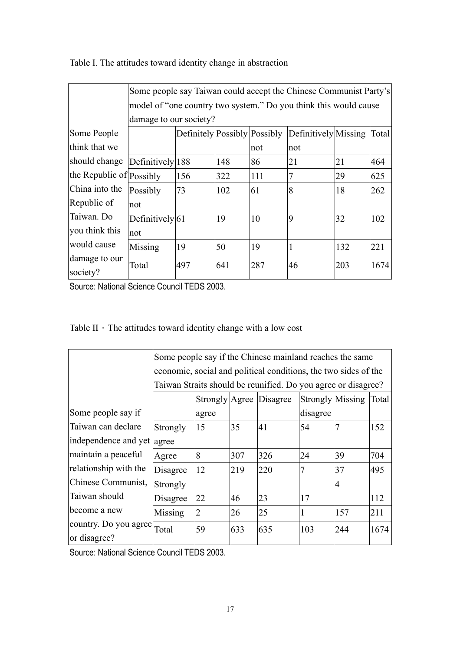|                           | Some people say Taiwan could accept the Chinese Communist Party's |                                                               |     |     |     |     |      |  |  |
|---------------------------|-------------------------------------------------------------------|---------------------------------------------------------------|-----|-----|-----|-----|------|--|--|
|                           | model of "one country two system." Do you think this would cause  |                                                               |     |     |     |     |      |  |  |
|                           | damage to our society?                                            |                                                               |     |     |     |     |      |  |  |
| Some People               |                                                                   | Definitely Possibly Possibly<br>Definitively Missing<br>Total |     |     |     |     |      |  |  |
| think that we             |                                                                   |                                                               |     | not | not |     |      |  |  |
| should change             | Definitively 188                                                  |                                                               | 148 | 86  | 21  | 21  | 464  |  |  |
| the Republic of Possibly  |                                                                   | 156                                                           | 322 | 111 |     | 29  | 625  |  |  |
| China into the            | Possibly                                                          | 73                                                            | 102 | 61  | 8   | 18  | 262  |  |  |
| Republic of               | not                                                               |                                                               |     |     |     |     |      |  |  |
| Taiwan. Do                | Definitively 61                                                   |                                                               | 19  | 10  | 9   | 32  | 102  |  |  |
| you think this            | not                                                               |                                                               |     |     |     |     |      |  |  |
| would cause               | Missing                                                           | 19                                                            | 50  | 19  |     | 132 | 221  |  |  |
| damage to our<br>society? | Total                                                             | 497                                                           | 641 | 287 | 46  | 203 | 1674 |  |  |

Table I. The attitudes toward identity change in abstraction

Source: National Science Council TEDS 2003.

|  | Table II $\cdot$ The attitudes toward identity change with a low cost |  |  |  |  |  |
|--|-----------------------------------------------------------------------|--|--|--|--|--|
|--|-----------------------------------------------------------------------|--|--|--|--|--|

|                             | Some people say if the Chinese mainland reaches the same        |                |     |                                                               |                  |                |       |  |
|-----------------------------|-----------------------------------------------------------------|----------------|-----|---------------------------------------------------------------|------------------|----------------|-------|--|
|                             | economic, social and political conditions, the two sides of the |                |     |                                                               |                  |                |       |  |
|                             |                                                                 |                |     | Taiwan Straits should be reunified. Do you agree or disagree? |                  |                |       |  |
|                             |                                                                 |                |     | Strongly Agree Disagree                                       | Strongly Missing |                | Total |  |
| Some people say if          |                                                                 | agree          |     |                                                               | disagree         |                |       |  |
| Taiwan can declare          | Strongly                                                        | 15             | 35  | 41                                                            | 54               |                | 152   |  |
| independence and yet agree  |                                                                 |                |     |                                                               |                  |                |       |  |
| maintain a peaceful         | Agree                                                           | 8              | 307 | 326                                                           | 24               | 39             | 704   |  |
| relationship with the       | Disagree                                                        | 12             | 219 | 220                                                           |                  | 37             | 495   |  |
| Chinese Communist,          | Strongly                                                        |                |     |                                                               |                  | $\overline{4}$ |       |  |
| Taiwan should               | Disagree                                                        | 22             | 46  | 23                                                            | 17               |                | 112   |  |
| become a new                | Missing                                                         | $\overline{2}$ | 26  | 25                                                            |                  | 157            | 211   |  |
| country. Do you agree Total |                                                                 | 59             | 633 | 635                                                           | 103              | 244            | 1674  |  |
| or disagree?                |                                                                 |                |     |                                                               |                  |                |       |  |

Source: National Science Council TEDS 2003.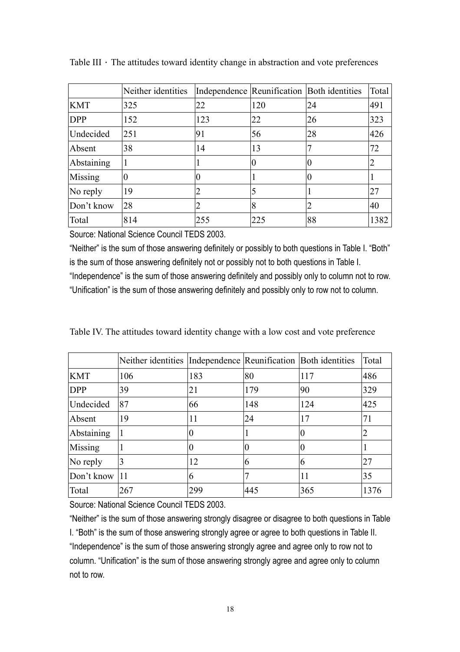|            | Neither identities |     |     | Independence Reunification Both identities | Total          |
|------------|--------------------|-----|-----|--------------------------------------------|----------------|
| <b>KMT</b> | 325                | 22  | 120 | 24                                         | 491            |
| <b>DPP</b> | 152                | 123 | 22  | 26                                         | 323            |
| Undecided  | 251                | 91  | 56  | 28                                         | 426            |
| Absent     | 38                 | 14  | 13  |                                            | 72             |
| Abstaining |                    |     |     |                                            | $\overline{2}$ |
| Missing    |                    |     |     |                                            |                |
| No reply   | 19                 |     |     |                                            | 27             |
| Don't know | 28                 |     | 8   |                                            | 40             |
| Total      | 814                | 255 | 225 | 88                                         | 1382           |

Table III  $\cdot$  The attitudes toward identity change in abstraction and vote preferences

Source: National Science Council TEDS 2003.

"Neither" is the sum of those answering definitely or possibly to both questions in Table I. "Both" is the sum of those answering definitely not or possibly not to both questions in Table I. "Independence" is the sum of those answering definitely and possibly only to column not to row. "Unification" is the sum of those answering definitely and possibly only to row not to column.

|  |  |  |  |  | Table IV. The attitudes toward identity change with a low cost and vote preference |
|--|--|--|--|--|------------------------------------------------------------------------------------|
|  |  |  |  |  |                                                                                    |

|            | Neither identities Independence Reunification Both identities |     |     |          | Total          |
|------------|---------------------------------------------------------------|-----|-----|----------|----------------|
| <b>KMT</b> | 106                                                           | 183 | 80  | 117      | 486            |
| <b>DPP</b> | 39                                                            | 21  | 179 | 90       | 329            |
| Undecided  | 87                                                            | 66  | 148 | 124      | 425            |
| Absent     | 19                                                            | 11  | 24  | 17       | 71             |
| Abstaining | 1                                                             | 0   |     | $\theta$ | $\overline{2}$ |
| Missing    |                                                               | 0   |     | $\theta$ |                |
| No reply   | 3                                                             | 12  | 6   | 6        | 27             |
| Don't know | 11                                                            | 6   |     | 11       | 35             |
| Total      | 267                                                           | 299 | 445 | 365      | 1376           |

Source: National Science Council TEDS 2003.

"Neither" is the sum of those answering strongly disagree or disagree to both questions in Table I. "Both" is the sum of those answering strongly agree or agree to both questions in Table II. "Independence" is the sum of those answering strongly agree and agree only to row not to column. "Unification" is the sum of those answering strongly agree and agree only to column not to row.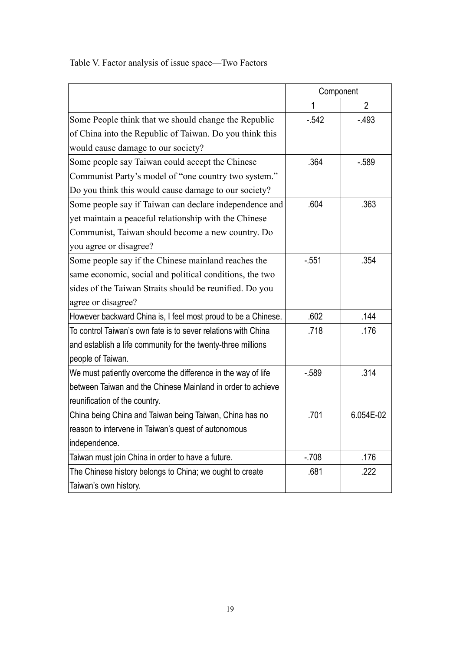Table V. Factor analysis of issue space—Two Factors

|                                                               | Component   |                |
|---------------------------------------------------------------|-------------|----------------|
|                                                               | $\mathbf 1$ | $\overline{2}$ |
| Some People think that we should change the Republic          | $-542$      | $-493$         |
| of China into the Republic of Taiwan. Do you think this       |             |                |
| would cause damage to our society?                            |             |                |
| Some people say Taiwan could accept the Chinese               | .364        | $-589$         |
| Communist Party's model of "one country two system."          |             |                |
| Do you think this would cause damage to our society?          |             |                |
| Some people say if Taiwan can declare independence and        | .604        | .363           |
| yet maintain a peaceful relationship with the Chinese         |             |                |
| Communist, Taiwan should become a new country. Do             |             |                |
| you agree or disagree?                                        |             |                |
| Some people say if the Chinese mainland reaches the           | $-551$      | .354           |
| same economic, social and political conditions, the two       |             |                |
| sides of the Taiwan Straits should be reunified. Do you       |             |                |
| agree or disagree?                                            |             |                |
| However backward China is, I feel most proud to be a Chinese. | .602        | .144           |
| To control Taiwan's own fate is to sever relations with China | .718        | .176           |
| and establish a life community for the twenty-three millions  |             |                |
| people of Taiwan.                                             |             |                |
| We must patiently overcome the difference in the way of life  | $-589$      | .314           |
| between Taiwan and the Chinese Mainland in order to achieve   |             |                |
| reunification of the country.                                 |             |                |
| China being China and Taiwan being Taiwan, China has no       | .701        | 6.054E-02      |
| reason to intervene in Taiwan's quest of autonomous           |             |                |
| independence.                                                 |             |                |
| Taiwan must join China in order to have a future.             | $-708$      | .176           |
| The Chinese history belongs to China; we ought to create      | .681        | .222           |
| Taiwan's own history.                                         |             |                |